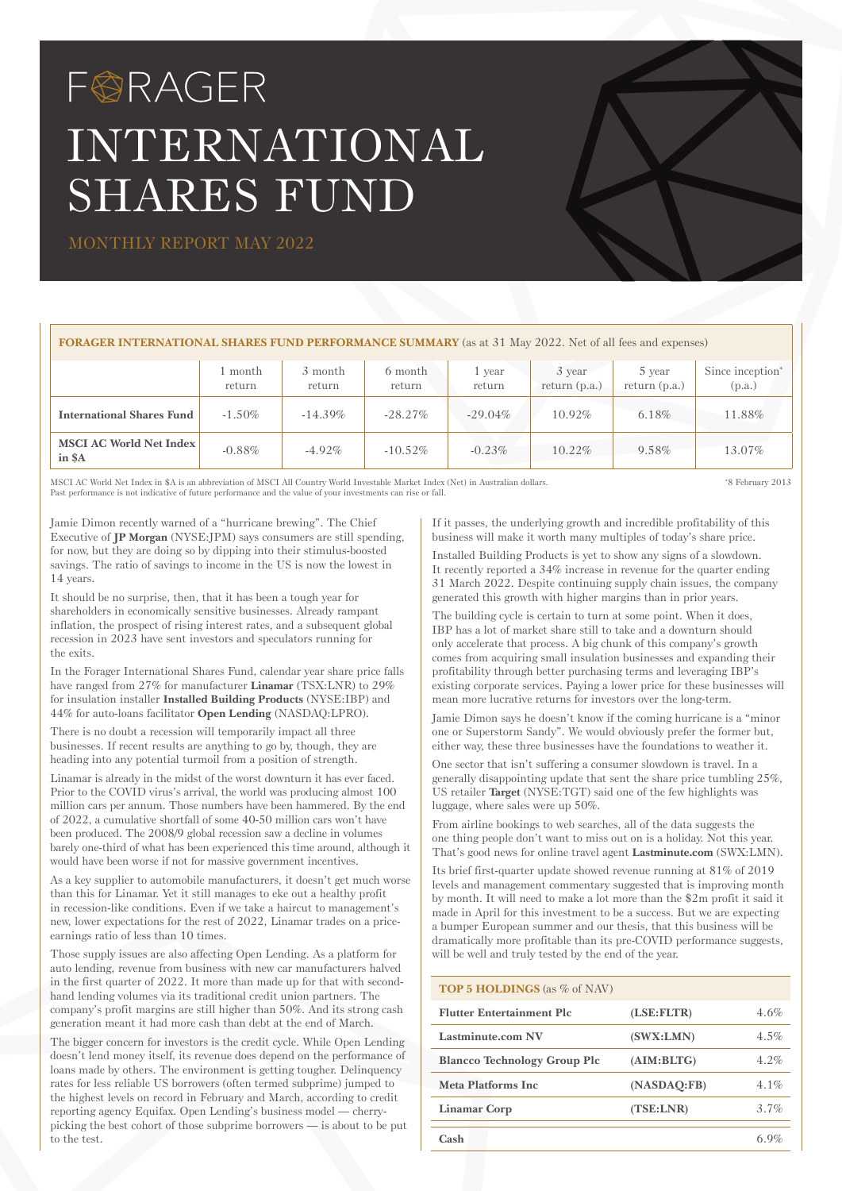# FØRAGER INTERNATIONAL SHARES FUND

MONTHLY REPORT MAY 2022

### **FORAGER INTERNATIONAL SHARES FUND PERFORMANCE SUMMARY** (as at 31 May 2022. Net of all fees and expenses)

|                                          | month<br>return | 3 month<br>return | 6 month<br>return | 1 year<br>return | 3 year<br>return $(p.a.)$ | 5 year<br>return $(p.a.)$ | Since inception <sup>*</sup><br>(p.a.) |
|------------------------------------------|-----------------|-------------------|-------------------|------------------|---------------------------|---------------------------|----------------------------------------|
| <b>International Shares Fund</b>         | $-1.50\%$       | $-14.39\%$        | $-28.27\%$        | $-29.04\%$       | $10.92\%$                 | $6.18\%$                  | $11.88\%$                              |
| <b>MSCI AC World Net Index</b><br>in \$A | $-0.88\%$       | $-4.92\%$         | $-10.52\%$        | $-0.23%$         | $10.22\%$                 | 9.58%                     | 13.07%                                 |

MSCI AC World Net Index in \$A is an abbreviation of MSCI All Country World Investable Market Index (Net) in Australian dollars.<br>Past performance is not indicative of future performance and the value of your investments can

\* 8 February 2013

Jamie Dimon recently warned of a "hurricane brewing". The Chief Executive of **JP Morgan** (NYSE:JPM) says consumers are still spending, for now, but they are doing so by dipping into their stimulus-boosted savings. The ratio of savings to income in the US is now the lowest in 14 years.

It should be no surprise, then, that it has been a tough year for shareholders in economically sensitive businesses. Already rampant inflation, the prospect of rising interest rates, and a subsequent global recession in 2023 have sent investors and speculators running for the exits.

In the Forager International Shares Fund, calendar year share price falls have ranged from 27% for manufacturer **Linamar** (TSX:LNR) to 29% for insulation installer **Installed Building Products** (NYSE:IBP) and 44% for auto-loans facilitator **Open Lending** (NASDAQ:LPRO).

There is no doubt a recession will temporarily impact all three businesses. If recent results are anything to go by, though, they are heading into any potential turmoil from a position of strength.

Linamar is already in the midst of the worst downturn it has ever faced. Prior to the COVID virus's arrival, the world was producing almost 100 million cars per annum. Those numbers have been hammered. By the end of 2022, a cumulative shortfall of some 40-50 million cars won't have been produced. The 2008/9 global recession saw a decline in volumes barely one-third of what has been experienced this time around, although it would have been worse if not for massive government incentives.

As a key supplier to automobile manufacturers, it doesn't get much worse than this for Linamar. Yet it still manages to eke out a healthy profit in recession-like conditions. Even if we take a haircut to management's new, lower expectations for the rest of 2022, Linamar trades on a priceearnings ratio of less than 10 times.

Those supply issues are also affecting Open Lending. As a platform for auto lending, revenue from business with new car manufacturers halved in the first quarter of 2022. It more than made up for that with secondhand lending volumes via its traditional credit union partners. The company's profit margins are still higher than 50%. And its strong cash generation meant it had more cash than debt at the end of March.

The bigger concern for investors is the credit cycle. While Open Lending doesn't lend money itself, its revenue does depend on the performance of loans made by others. The environment is getting tougher. Delinquency rates for less reliable US borrowers (often termed subprime) jumped to the highest levels on record in February and March, according to credit reporting agency Equifax. Open Lending's business model — cherrypicking the best cohort of those subprime borrowers — is about to be put to the test.

If it passes, the underlying growth and incredible profitability of this business will make it worth many multiples of today's share price.

Installed Building Products is yet to show any signs of a slowdown. It recently reported a 34% increase in revenue for the quarter ending 31 March 2022. Despite continuing supply chain issues, the company generated this growth with higher margins than in prior years.

The building cycle is certain to turn at some point. When it does, IBP has a lot of market share still to take and a downturn should only accelerate that process. A big chunk of this company's growth comes from acquiring small insulation businesses and expanding their profitability through better purchasing terms and leveraging IBP's existing corporate services. Paying a lower price for these businesses will mean more lucrative returns for investors over the long-term.

Jamie Dimon says he doesn't know if the coming hurricane is a "minor one or Superstorm Sandy". We would obviously prefer the former but, either way, these three businesses have the foundations to weather it.

One sector that isn't suffering a consumer slowdown is travel. In a generally disappointing update that sent the share price tumbling 25%, US retailer **Target** (NYSE:TGT) said one of the few highlights was luggage, where sales were up 50%.

From airline bookings to web searches, all of the data suggests the one thing people don't want to miss out on is a holiday. Not this year. That's good news for online travel agent **Lastminute.com** (SWX:LMN).

Its brief first-quarter update showed revenue running at 81% of 2019 levels and management commentary suggested that is improving month by month. It will need to make a lot more than the \$2m profit it said it made in April for this investment to be a success. But we are expecting a bumper European summer and our thesis, that this business will be dramatically more profitable than its pre-COVID performance suggests, will be well and truly tested by the end of the year.

## **TOP 5 HOLDINGS** (as % of NAV)

| <b>Flutter Entertainment Plc</b>    | (LSE:FLTR)  | 4.6%    |
|-------------------------------------|-------------|---------|
| <b>Lastminute.com NV</b>            | (SWX:LMN)   | $4.5\%$ |
| <b>Blancco Technology Group Plc</b> | (AIM:BLTG)  | $4.2\%$ |
| Meta Platforms Inc                  | (NASDAO:FB) | $4.1\%$ |
| Linamar Corp                        | (TSE: LNR)  | 3.7%    |
| Cash                                |             |         |